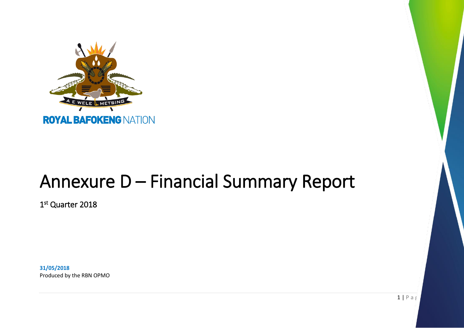

# Annexure D – Financial Summary Report

1 st Quarter 2018

**31/05/2018** Produced by the RBN OPMO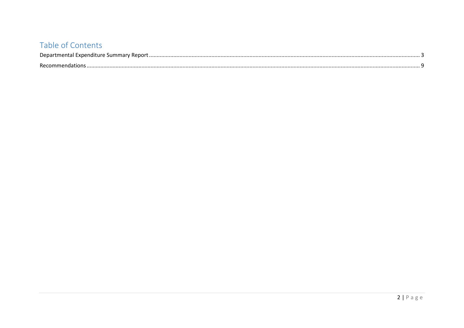## Table of Contents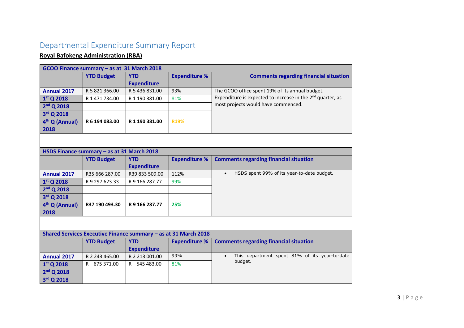## <span id="page-2-0"></span>Departmental Expenditure Summary Report

### **Royal Bafokeng Administration (RBA)**

|                            | GCOO Finance summary - as at 31 March 2018                      |                    |                      |                                                                        |  |  |
|----------------------------|-----------------------------------------------------------------|--------------------|----------------------|------------------------------------------------------------------------|--|--|
|                            | <b>YTD Budget</b>                                               | <b>YTD</b>         | <b>Expenditure %</b> | <b>Comments regarding financial situation</b>                          |  |  |
|                            |                                                                 | <b>Expenditure</b> |                      |                                                                        |  |  |
| <b>Annual 2017</b>         | R 5 821 366.00                                                  | R 5 436 831.00     | 93%                  | The GCOO office spent 19% of its annual budget.                        |  |  |
| $1st$ Q 2018               | R 1 471 734.00                                                  | R 1 190 381.00     | 81%                  | Expenditure is expected to increase in the 2 <sup>nd</sup> quarter, as |  |  |
| $2^{nd}$ Q 2018            |                                                                 |                    |                      | most projects would have commenced.                                    |  |  |
| 3rd Q 2018                 |                                                                 |                    |                      |                                                                        |  |  |
| 4 <sup>th</sup> Q (Annual) | R 6 194 083.00                                                  | R 1 190 381.00     | <b>R19%</b>          |                                                                        |  |  |
| 2018                       |                                                                 |                    |                      |                                                                        |  |  |
|                            |                                                                 |                    |                      |                                                                        |  |  |
|                            |                                                                 |                    |                      |                                                                        |  |  |
|                            | HSDS Finance summary - as at 31 March 2018                      |                    |                      |                                                                        |  |  |
|                            | <b>YTD Budget</b>                                               | <b>YTD</b>         | <b>Expenditure %</b> | <b>Comments regarding financial situation</b>                          |  |  |
|                            |                                                                 | <b>Expenditure</b> |                      |                                                                        |  |  |
| <b>Annual 2017</b>         | R35 666 287.00                                                  | R39 833 509.00     | 112%                 | HSDS spent 99% of its year-to-date budget.                             |  |  |
| $1st$ Q 2018               | R 9 297 623.33                                                  | R 9 166 287.77     | 99%                  |                                                                        |  |  |
| $2nd$ Q 2018               |                                                                 |                    |                      |                                                                        |  |  |
| 3rd Q 2018                 |                                                                 |                    |                      |                                                                        |  |  |
| 4 <sup>th</sup> Q (Annual) | R37 190 493.30                                                  | R 9 166 287.77     | 25%                  |                                                                        |  |  |
| 2018                       |                                                                 |                    |                      |                                                                        |  |  |
|                            |                                                                 |                    |                      |                                                                        |  |  |
|                            |                                                                 |                    |                      |                                                                        |  |  |
|                            | Shared Services Executive Finance summary - as at 31 March 2018 |                    |                      |                                                                        |  |  |
|                            | <b>YTD Budget</b>                                               | <b>YTD</b>         | <b>Expenditure %</b> | <b>Comments regarding financial situation</b>                          |  |  |
|                            |                                                                 | <b>Expenditure</b> |                      |                                                                        |  |  |
| <b>Annual 2017</b>         | R 2 243 465.00                                                  | R 2 213 001.00     | 99%                  | This department spent 81% of its year-to-date<br>budget.               |  |  |
| $1st$ Q 2018               | 675 371.00<br>R.                                                | 545 483.00         | 81%                  |                                                                        |  |  |
| 2 <sup>nd</sup> Q 2018     |                                                                 |                    |                      |                                                                        |  |  |
| 3rd Q 2018                 |                                                                 |                    |                      |                                                                        |  |  |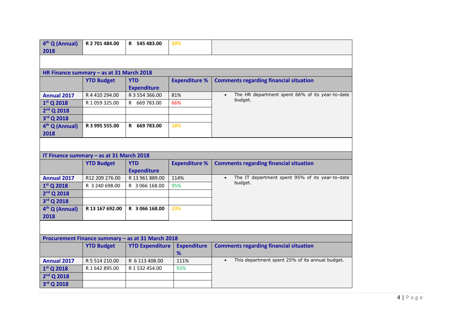| 4 <sup>th</sup> Q (Annual)<br>2018 | R 2 701 484.00                                    | R 545 483.00                     | 20%                     |                                                              |  |  |
|------------------------------------|---------------------------------------------------|----------------------------------|-------------------------|--------------------------------------------------------------|--|--|
|                                    |                                                   |                                  |                         |                                                              |  |  |
|                                    | HR Finance summary - as at 31 March 2018          |                                  |                         |                                                              |  |  |
|                                    | <b>YTD Budget</b>                                 | <b>YTD</b><br><b>Expenditure</b> | <b>Expenditure %</b>    | <b>Comments regarding financial situation</b>                |  |  |
| <b>Annual 2017</b>                 | R 4 410 294.00                                    | R 3 554 366.00                   | 81%                     | The HR department spent 66% of its year-to-date              |  |  |
| $1st$ Q 2018                       | R 1 059 325.00                                    | 669 783.00                       | 66%                     | budget.                                                      |  |  |
| 2 <sup>nd</sup> Q 2018             |                                                   |                                  |                         |                                                              |  |  |
| 3rd Q 2018                         |                                                   |                                  |                         |                                                              |  |  |
| 4 <sup>th</sup> Q (Annual)<br>2018 | R 3 995 555.00                                    | 669 783.00<br>R.                 | 18%                     |                                                              |  |  |
|                                    |                                                   |                                  |                         |                                                              |  |  |
|                                    | IT Finance summary - as at 31 March 2018          |                                  |                         |                                                              |  |  |
|                                    | <b>YTD Budget</b>                                 | <b>YTD</b><br><b>Expenditure</b> | <b>Expenditure %</b>    | <b>Comments regarding financial situation</b>                |  |  |
| <b>Annual 2017</b>                 | R12 209 276.00                                    | R 13 961 889.00                  | 114%                    | The IT department spent 95% of its year-to-date<br>$\bullet$ |  |  |
| $1st$ Q 2018                       | R 3 240 698.00                                    | R 3 066 168.00                   | 95%                     | budget.                                                      |  |  |
| $2nd$ Q 2018                       |                                                   |                                  |                         |                                                              |  |  |
| 3rd Q 2018                         |                                                   |                                  |                         |                                                              |  |  |
| 4 <sup>th</sup> Q (Annual)<br>2018 | R 13 167 692.00                                   | R 3 066 168.00                   | 23%                     |                                                              |  |  |
|                                    |                                                   |                                  |                         |                                                              |  |  |
|                                    | Procurement Finance summary - as at 31 March 2018 |                                  |                         |                                                              |  |  |
|                                    | <b>YTD Budget</b>                                 | <b>YTD Expenditure</b>           | <b>Expenditure</b><br>% | <b>Comments regarding financial situation</b>                |  |  |
| <b>Annual 2017</b>                 | R 5 514 210.00                                    | R 6 113 408.00                   | 111%                    | This department spent 25% of its annual budget.<br>$\bullet$ |  |  |
| $1st$ Q 2018                       | R 1 642 895.00                                    | R 1 532 454.00                   | 93%                     |                                                              |  |  |
| $2nd$ Q 2018                       |                                                   |                                  |                         |                                                              |  |  |
| 3rd Q 2018                         |                                                   |                                  |                         |                                                              |  |  |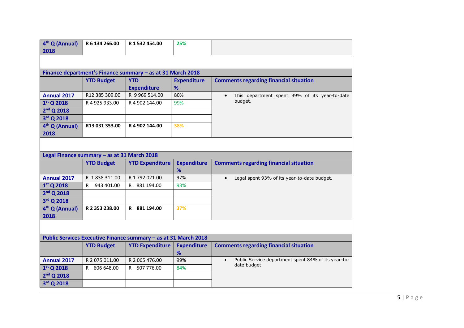| 4 <sup>th</sup> Q (Annual)<br>2018 | R 6 134 266.00                                                  | R 1 532 454.00                                             | 25%                     |                                                                  |  |  |
|------------------------------------|-----------------------------------------------------------------|------------------------------------------------------------|-------------------------|------------------------------------------------------------------|--|--|
|                                    |                                                                 |                                                            |                         |                                                                  |  |  |
|                                    |                                                                 | Finance department's Finance summary - as at 31 March 2018 |                         |                                                                  |  |  |
|                                    | <b>YTD Budget</b>                                               | <b>YTD</b>                                                 | <b>Expenditure</b>      | <b>Comments regarding financial situation</b>                    |  |  |
|                                    |                                                                 | <b>Expenditure</b>                                         | %                       |                                                                  |  |  |
| <b>Annual 2017</b>                 | R12 385 309.00                                                  | R 9 969 514.00                                             | 80%                     | This department spent 99% of its year-to-date<br>budget.         |  |  |
| $1st$ Q 2018                       | R 4 925 933.00                                                  | R 4 902 144.00                                             | 99%                     |                                                                  |  |  |
| 2 <sup>nd</sup> Q 2018             |                                                                 |                                                            |                         |                                                                  |  |  |
| 3rd Q 2018                         |                                                                 |                                                            |                         |                                                                  |  |  |
| 4 <sup>th</sup> Q (Annual)         | R13 031 353.00                                                  | R 4 902 144.00                                             | 38%                     |                                                                  |  |  |
| 2018                               |                                                                 |                                                            |                         |                                                                  |  |  |
|                                    |                                                                 |                                                            |                         |                                                                  |  |  |
|                                    | Legal Finance summary - as at 31 March 2018                     |                                                            |                         |                                                                  |  |  |
|                                    | <b>YTD Budget</b>                                               | <b>YTD Expenditure</b>                                     | <b>Expenditure</b><br>% | <b>Comments regarding financial situation</b>                    |  |  |
| <b>Annual 2017</b>                 | R 1838 311.00                                                   | R 1 792 021.00                                             | 97%                     | Legal spent 93% of its year-to-date budget.                      |  |  |
| $1st$ Q 2018                       | R<br>943 401.00                                                 | 881 194.00<br>R.                                           | 93%                     |                                                                  |  |  |
| $2nd$ Q 2018                       |                                                                 |                                                            |                         |                                                                  |  |  |
| 3rd Q 2018                         |                                                                 |                                                            |                         |                                                                  |  |  |
| 4 <sup>th</sup> Q (Annual)         | R 2 353 238.00                                                  | R 881 194.00                                               | 37%                     |                                                                  |  |  |
| 2018                               |                                                                 |                                                            |                         |                                                                  |  |  |
|                                    |                                                                 |                                                            |                         |                                                                  |  |  |
|                                    | Public Services Executive Finance summary - as at 31 March 2018 |                                                            |                         |                                                                  |  |  |
|                                    | <b>YTD Budget</b>                                               | <b>YTD Expenditure</b>                                     | <b>Expenditure</b>      | <b>Comments regarding financial situation</b>                    |  |  |
|                                    |                                                                 |                                                            | %                       |                                                                  |  |  |
| <b>Annual 2017</b>                 | R 2 075 011.00                                                  | R 2 065 476.00                                             | 99%                     | Public Service department spent 84% of its year-to-<br>$\bullet$ |  |  |
| $1st$ Q 2018                       | 606 648.00<br>R.                                                | 507 776.00<br>R                                            | 84%                     | date budget.                                                     |  |  |
| 2 <sup>nd</sup> Q 2018             |                                                                 |                                                            |                         |                                                                  |  |  |
| 3rd Q 2018                         |                                                                 |                                                            |                         |                                                                  |  |  |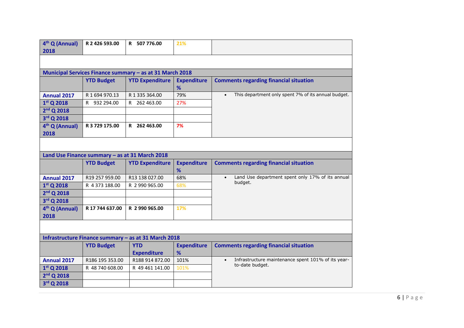| $4th Q$ (Annual)<br>2018                             | R 2 426 593.00                                 | R 507 776.00                                             | 21%                     |                                                                 |  |
|------------------------------------------------------|------------------------------------------------|----------------------------------------------------------|-------------------------|-----------------------------------------------------------------|--|
|                                                      |                                                |                                                          |                         |                                                                 |  |
|                                                      |                                                | Municipal Services Finance summary - as at 31 March 2018 |                         |                                                                 |  |
|                                                      | <b>YTD Budget</b>                              | <b>YTD Expenditure</b>                                   | <b>Expenditure</b><br>% | <b>Comments regarding financial situation</b>                   |  |
| <b>Annual 2017</b>                                   | R 1 694 970.13                                 | R 1 335 364.00                                           | 79%                     | This department only spent 7% of its annual budget.             |  |
| $1st$ Q 2018                                         | R 932 294.00                                   | R 262 463.00                                             | 27%                     |                                                                 |  |
| $2nd$ Q 2018                                         |                                                |                                                          |                         |                                                                 |  |
| 3rd Q 2018                                           |                                                |                                                          |                         |                                                                 |  |
| 4 <sup>th</sup> Q (Annual)<br>2018                   | R 3 729 175.00                                 | R 262 463.00                                             | 7%                      |                                                                 |  |
|                                                      |                                                |                                                          |                         |                                                                 |  |
|                                                      | Land Use Finance summary - as at 31 March 2018 |                                                          |                         |                                                                 |  |
|                                                      | <b>YTD Budget</b>                              | <b>YTD Expenditure</b>                                   | <b>Expenditure</b><br>% | <b>Comments regarding financial situation</b>                   |  |
| <b>Annual 2017</b>                                   | R19 257 959.00                                 | R13 138 027.00                                           | 68%                     | Land Use department spent only 17% of its annual<br>$\bullet$   |  |
| $1st$ Q 2018                                         | R 4 373 188.00                                 | R 2 990 965.00                                           | 68%                     | budget.                                                         |  |
| $2nd$ Q 2018                                         |                                                |                                                          |                         |                                                                 |  |
| 3rd Q 2018                                           |                                                |                                                          |                         |                                                                 |  |
| 4 <sup>th</sup> Q (Annual)                           | R 17 744 637.00                                | R 2 990 965.00                                           | 17%                     |                                                                 |  |
| 2018                                                 |                                                |                                                          |                         |                                                                 |  |
|                                                      |                                                |                                                          |                         |                                                                 |  |
| Infrastructure Finance summary - as at 31 March 2018 |                                                |                                                          |                         |                                                                 |  |
|                                                      | <b>YTD Budget</b>                              | <b>YTD</b>                                               | <b>Expenditure</b>      | <b>Comments regarding financial situation</b>                   |  |
|                                                      |                                                | <b>Expenditure</b>                                       | %                       |                                                                 |  |
| <b>Annual 2017</b>                                   | R186 195 353.00                                | R188 914 872.00                                          | 101%                    | Infrastructure maintenance spent 101% of its year-<br>$\bullet$ |  |
| $1st$ Q 2018                                         | R 48 740 608.00                                | R 49 461 141.00                                          | 101%                    | to-date budget.                                                 |  |
| $2nd$ Q 2018                                         |                                                |                                                          |                         |                                                                 |  |
| 3rd Q 2018                                           |                                                |                                                          |                         |                                                                 |  |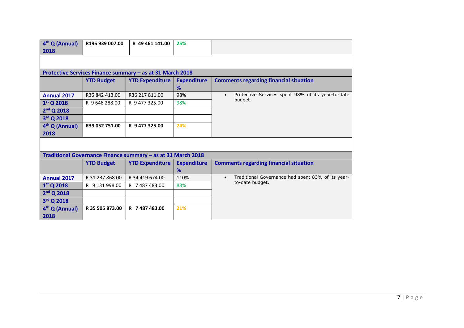| $4th Q$ (Annual)                   | R195 939 007.00   | R 49 461 141.00                                              | 25%                     |                                                                |  |  |
|------------------------------------|-------------------|--------------------------------------------------------------|-------------------------|----------------------------------------------------------------|--|--|
| 2018                               |                   |                                                              |                         |                                                                |  |  |
|                                    |                   |                                                              |                         |                                                                |  |  |
|                                    |                   | Protective Services Finance summary - as at 31 March 2018    |                         |                                                                |  |  |
|                                    | <b>YTD Budget</b> | <b>YTD Expenditure</b>                                       | <b>Expenditure</b><br>% | <b>Comments regarding financial situation</b>                  |  |  |
| <b>Annual 2017</b>                 | R36 842 413.00    | R36 217 811.00                                               | 98%                     | Protective Services spent 98% of its year-to-date<br>$\bullet$ |  |  |
| $1st$ Q 2018                       | R 9648 288,00     | R 9 477 325.00                                               | 98%                     | budget.                                                        |  |  |
| 2 <sup>nd</sup> Q 2018             |                   |                                                              |                         |                                                                |  |  |
| 3rd Q 2018                         |                   |                                                              |                         |                                                                |  |  |
| 4 <sup>th</sup> Q (Annual)         | R39 052 751.00    | R 9 477 325.00                                               | 24%                     |                                                                |  |  |
| 2018                               |                   |                                                              |                         |                                                                |  |  |
|                                    |                   |                                                              |                         |                                                                |  |  |
|                                    |                   | Traditional Governance Finance summary - as at 31 March 2018 |                         |                                                                |  |  |
|                                    | <b>YTD Budget</b> | <b>YTD Expenditure</b>                                       | <b>Expenditure</b><br>% | <b>Comments regarding financial situation</b>                  |  |  |
| <b>Annual 2017</b>                 | R 31 237 868.00   | R 34 419 674.00                                              | 110%                    | Traditional Governance had spent 83% of its year-<br>$\bullet$ |  |  |
| $1st$ Q 2018                       | R 9 131 998.00    | R 7487483.00                                                 | 83%                     | to-date budget.                                                |  |  |
| $2nd$ Q 2018                       |                   |                                                              |                         |                                                                |  |  |
| 3rd Q 2018                         |                   |                                                              |                         |                                                                |  |  |
| 4 <sup>th</sup> Q (Annual)<br>2018 | R 35 505 873.00   | R 7487483.00                                                 | 21%                     |                                                                |  |  |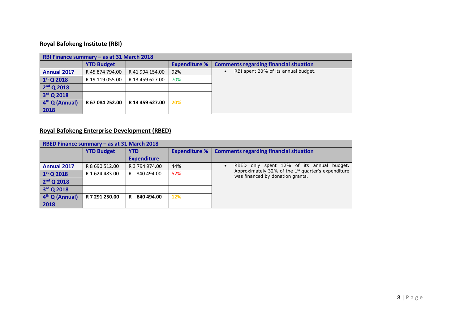#### **Royal Bafokeng Institute (RBI)**

|                            | RBI Finance summary - as at 31 March 2018 |                 |                      |                                               |  |
|----------------------------|-------------------------------------------|-----------------|----------------------|-----------------------------------------------|--|
|                            | <b>YTD Budget</b>                         |                 | <b>Expenditure %</b> | <b>Comments regarding financial situation</b> |  |
| <b>Annual 2017</b>         | R 45 874 794.00                           | R 41 994 154.00 | 92%                  | RBI spent 20% of its annual budget.           |  |
| $1st$ Q 2018               | R 19 119 055.00                           | R 13 459 627.00 | 70%                  |                                               |  |
| $2nd$ Q 2018               |                                           |                 |                      |                                               |  |
| 3rd Q 2018                 |                                           |                 |                      |                                               |  |
| 4 <sup>th</sup> Q (Annual) | R 67 084 252.00                           | R 13 459 627.00 | 20%                  |                                               |  |
| 2018                       |                                           |                 |                      |                                               |  |

#### **Royal Bafokeng Enterprise Development (RBED)**

| RBED Finance summary - as at 31 March 2018 |                   |                    |                      |                                                                                          |
|--------------------------------------------|-------------------|--------------------|----------------------|------------------------------------------------------------------------------------------|
|                                            | <b>YTD Budget</b> | <b>YTD</b>         | <b>Expenditure %</b> | <b>Comments regarding financial situation</b>                                            |
|                                            |                   | <b>Expenditure</b> |                      |                                                                                          |
| <b>Annual 2017</b>                         | R 8 690 512.00    | R 3 794 974.00     | 44%                  | only spent 12% of its annual budget.<br>RBED                                             |
| $1st$ Q 2018                               | R 1 624 483.00    | 840 494.00<br>R    | 52%                  | Approximately 32% of the $1st$ guarter's expenditure<br>was financed by donation grants. |
| $2nd$ Q 2018                               |                   |                    |                      |                                                                                          |
| 3rd Q 2018                                 |                   |                    |                      |                                                                                          |
| $4th$ Q (Annual)                           | R 7 291 250.00    | 840 494.00<br>R    | <b>12%</b>           |                                                                                          |
| 2018                                       |                   |                    |                      |                                                                                          |